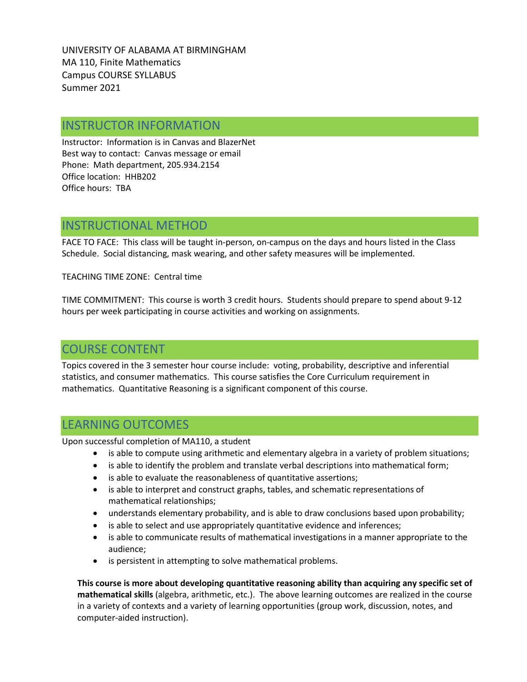UNIVERSITY OF ALABAMA AT BIRMINGHAM MA 110, Finite Mathematics Campus COURSE SYLLABUS Summer 2021

# INSTRUCTOR INFORMATION

Instructor: Information is in Canvas and BlazerNet Best way to contact: Canvas message or email Phone: Math department, 205.934.2154 Office location: HHB202 Office hours: TBA

## INSTRUCTIONAL METHOD

FACE TO FACE: This class will be taught in-person, on-campus on the days and hours listed in the Class Schedule. Social distancing, mask wearing, and other safety measures will be implemented.

TEACHING TIME ZONE: Central time

TIME COMMITMENT: This course is worth 3 credit hours. Students should prepare to spend about 9-12 hours per week participating in course activities and working on assignments.

# COURSE CONTENT

Topics covered in the 3 semester hour course include: voting, probability, descriptive and inferential statistics, and consumer mathematics. This course satisfies the Core Curriculum requirement in mathematics. Quantitative Reasoning is a significant component of this course.

## LEARNING OUTCOMES

Upon successful completion of MA110, a student

- is able to compute using arithmetic and elementary algebra in a variety of problem situations;
- is able to identify the problem and translate verbal descriptions into mathematical form;
- is able to evaluate the reasonableness of quantitative assertions;
- is able to interpret and construct graphs, tables, and schematic representations of mathematical relationships;
- understands elementary probability, and is able to draw conclusions based upon probability;
- is able to select and use appropriately quantitative evidence and inferences;
- is able to communicate results of mathematical investigations in a manner appropriate to the audience;
- is persistent in attempting to solve mathematical problems.

**This course is more about developing quantitative reasoning ability than acquiring any specific set of mathematical skills** (algebra, arithmetic, etc.). The above learning outcomes are realized in the course in a variety of contexts and a variety of learning opportunities (group work, discussion, notes, and computer-aided instruction).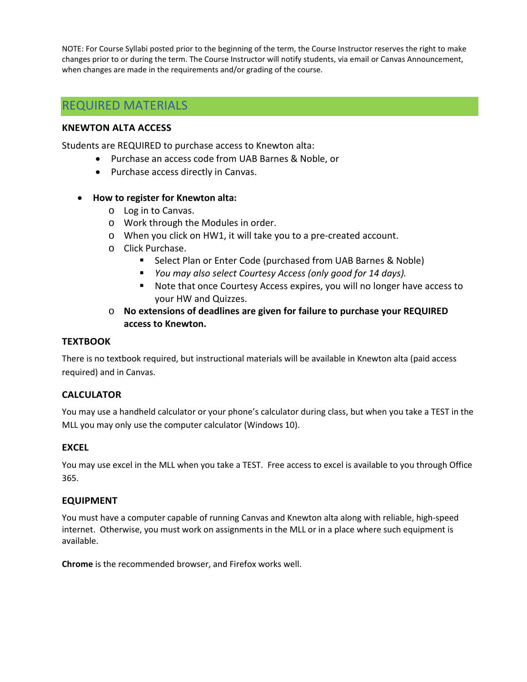NOTE: For Course Syllabi posted prior to the beginning of the term, the Course Instructor reserves the right to make changes prior to or during the term. The Course Instructor will notify students, via email or Canvas Announcement, when changes are made in the requirements and/or grading of the course.

## REQUIRED MATERIALS

## **KNEWTON ALTA ACCESS**

Students are REQUIRED to purchase access to Knewton alta:

- Purchase an access code from UAB Barnes & Noble, or
- Purchase access directly in Canvas.

### • **How to register for Knewton alta:**

- o Log in to Canvas.
- o Work through the Modules in order.
- o When you click on HW1, it will take you to a pre-created account.
- o Click Purchase.
	- Select Plan or Enter Code (purchased from UAB Barnes & Noble)
	- *You may also select Courtesy Access (only good for 14 days).*
	- Note that once Courtesy Access expires, you will no longer have access to your HW and Quizzes.
- o **No extensions of deadlines are given for failure to purchase your REQUIRED access to Knewton.**

### **TEXTBOOK**

There is no textbook required, but instructional materials will be available in Knewton alta (paid access required) and in Canvas.

## **CALCULATOR**

You may use a handheld calculator or your phone's calculator during class, but when you take a TEST in the MLL you may only use the computer calculator (Windows 10).

### **EXCEL**

You may use excel in the MLL when you take a TEST. Free access to excel is available to you through Office 365.

### **EQUIPMENT**

You must have a computer capable of running Canvas and Knewton alta along with reliable, high-speed internet. Otherwise, you must work on assignments in the MLL or in a place where such equipment is available.

**Chrome** is the recommended browser, and Firefox works well.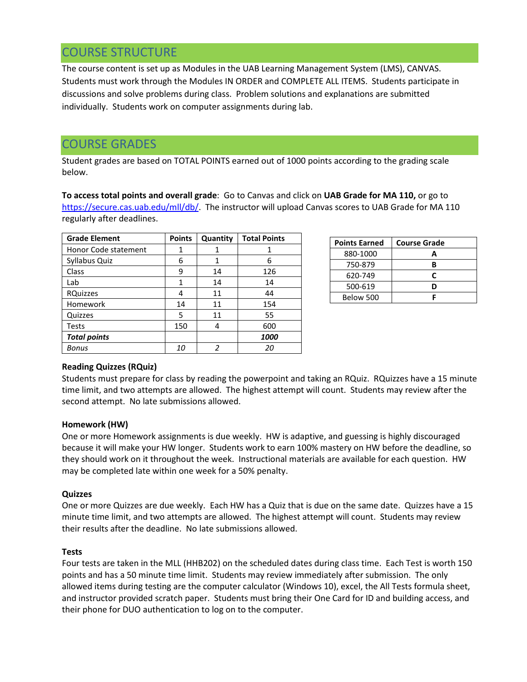# COURSE STRUCTURE

The course content is set up as Modules in the UAB Learning Management System (LMS), CANVAS. Students must work through the Modules IN ORDER and COMPLETE ALL ITEMS. Students participate in discussions and solve problems during class. Problem solutions and explanations are submitted individually. Students work on computer assignments during lab.

# COURSE GRADES

Student grades are based on TOTAL POINTS earned out of 1000 points according to the grading scale below.

**To access total points and overall grade**: Go to Canvas and click on **UAB Grade for MA 110,** or go to [https://secure.cas.uab.edu/mll/db/.](https://secure.cas.uab.edu/mll/db/) The instructor will upload Canvas scores to UAB Grade for MA 110 regularly after deadlines.

| <b>Grade Element</b> | <b>Points</b> | Quantity | <b>Total Points</b> |
|----------------------|---------------|----------|---------------------|
| Honor Code statement | 1             |          |                     |
| Syllabus Quiz        | 6             | 1        | 6                   |
| Class                | q             | 14       | 126                 |
| Lab                  | 1             | 14       | 14                  |
| <b>RQuizzes</b>      |               | 11       | 44                  |
| Homework             | 14            | 11       | 154                 |
| Quizzes              | 5             | 11       | 55                  |
| Tests                | 150           | 4        | 600                 |
| <b>Total points</b>  |               |          | <i><b>1000</b></i>  |
| Bonus                | 10            | 2        | 20                  |

| <b>Points Earned</b> | <b>Course Grade</b> |
|----------------------|---------------------|
| 880-1000             |                     |
| 750-879              |                     |
| 620-749              | r                   |
| 500-619              |                     |
| Below 500            |                     |

## **Reading Quizzes (RQuiz)**

Students must prepare for class by reading the powerpoint and taking an RQuiz. RQuizzes have a 15 minute time limit, and two attempts are allowed. The highest attempt will count. Students may review after the second attempt. No late submissions allowed.

## **Homework (HW)**

One or more Homework assignments is due weekly. HW is adaptive, and guessing is highly discouraged because it will make your HW longer. Students work to earn 100% mastery on HW before the deadline, so they should work on it throughout the week. Instructional materials are available for each question. HW may be completed late within one week for a 50% penalty.

### **Quizzes**

One or more Quizzes are due weekly. Each HW has a Quiz that is due on the same date. Quizzes have a 15 minute time limit, and two attempts are allowed. The highest attempt will count. Students may review their results after the deadline. No late submissions allowed.

### **Tests**

Four tests are taken in the MLL (HHB202) on the scheduled dates during class time. Each Test is worth 150 points and has a 50 minute time limit. Students may review immediately after submission. The only allowed items during testing are the computer calculator (Windows 10), excel, the All Tests formula sheet, and instructor provided scratch paper. Students must bring their One Card for ID and building access, and their phone for DUO authentication to log on to the computer.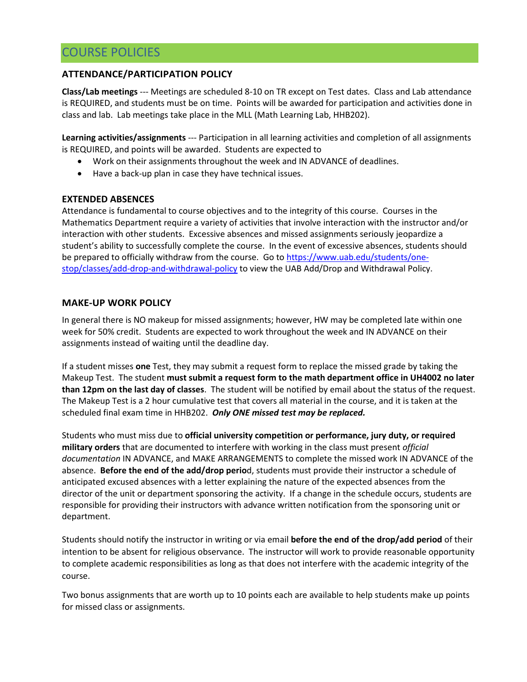# COURSE POLICIES

## **ATTENDANCE/PARTICIPATION POLICY**

**Class/Lab meetings** --- Meetings are scheduled 8-10 on TR except on Test dates. Class and Lab attendance is REQUIRED, and students must be on time. Points will be awarded for participation and activities done in class and lab. Lab meetings take place in the MLL (Math Learning Lab, HHB202).

**Learning activities/assignments** --- Participation in all learning activities and completion of all assignments is REQUIRED, and points will be awarded. Students are expected to

- Work on their assignments throughout the week and IN ADVANCE of deadlines.
- Have a back-up plan in case they have technical issues.

### **EXTENDED ABSENCES**

Attendance is fundamental to course objectives and to the integrity of this course. Courses in the Mathematics Department require a variety of activities that involve interaction with the instructor and/or interaction with other students. Excessive absences and missed assignments seriously jeopardize a student's ability to successfully complete the course. In the event of excessive absences, students should be prepared to officially withdraw from the course. Go to [https://www.uab.edu/students/one](https://www.uab.edu/students/one-stop/classes/add-drop-and-withdrawal-policy)[stop/classes/add-drop-and-withdrawal-policy](https://www.uab.edu/students/one-stop/classes/add-drop-and-withdrawal-policy) to view the UAB Add/Drop and Withdrawal Policy.

### **MAKE-UP WORK POLICY**

In general there is NO makeup for missed assignments; however, HW may be completed late within one week for 50% credit. Students are expected to work throughout the week and IN ADVANCE on their assignments instead of waiting until the deadline day.

If a student misses **one** Test, they may submit a request form to replace the missed grade by taking the Makeup Test. The student **must submit a request form to the math department office in UH4002 no later than 12pm on the last day of classes**. The student will be notified by email about the status of the request. The Makeup Test is a 2 hour cumulative test that covers all material in the course, and it is taken at the scheduled final exam time in HHB202. *Only ONE missed test may be replaced.*

Students who must miss due to **official university competition or performance, jury duty, or required military orders** that are documented to interfere with working in the class must present *official documentation* IN ADVANCE, and MAKE ARRANGEMENTS to complete the missed work IN ADVANCE of the absence. **Before the end of the add/drop perio**d, students must provide their instructor a schedule of anticipated excused absences with a letter explaining the nature of the expected absences from the director of the unit or department sponsoring the activity. If a change in the schedule occurs, students are responsible for providing their instructors with advance written notification from the sponsoring unit or department.

Students should notify the instructor in writing or via email **before the end of the drop/add period** of their intention to be absent for religious observance. The instructor will work to provide reasonable opportunity to complete academic responsibilities as long as that does not interfere with the academic integrity of the course.

Two bonus assignments that are worth up to 10 points each are available to help students make up points for missed class or assignments.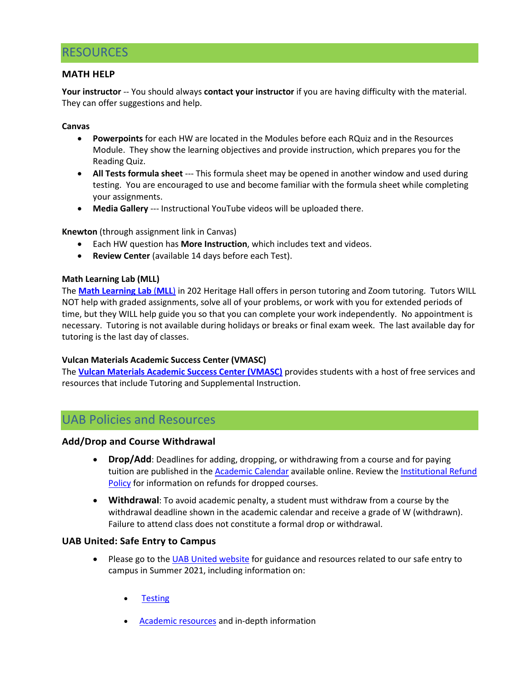## RESOURCES

### **MATH HELP**

**Your instructor** -- You should always **contact your instructor** if you are having difficulty with the material. They can offer suggestions and help.

**Canvas**

- **Powerpoints** for each HW are located in the Modules before each RQuiz and in the Resources Module. They show the learning objectives and provide instruction, which prepares you for the Reading Quiz.
- **All Tests formula sheet** --- This formula sheet may be opened in another window and used during testing. You are encouraged to use and become familiar with the formula sheet while completing your assignments.
- **Media Gallery** --- Instructional YouTube videos will be uploaded there.

**Knewton** (through assignment link in Canvas)

- Each HW question has **More Instruction**, which includes text and videos.
- **Review Center** (available 14 days before each Test).

### **Math Learning Lab (MLL)**

The **[Math Learning Lab](https://www.uab.edu/cas/mathematics/student-resources/math-learning-lab)** (**MLL**) in 202 Heritage Hall offers in person tutoring and Zoom tutoring. Tutors WILL NOT help with graded assignments, solve all of your problems, or work with you for extended periods of time, but they WILL help guide you so that you can complete your work independently. No appointment is necessary. Tutoring is not available during holidays or breaks or final exam week. The last available day for tutoring is the last day of classes.

### **Vulcan Materials Academic Success Center (VMASC)**

The **Vulcan Materials [Academic Success Center \(VMASC\)](https://www.uab.edu/students/academics/student-success)** provides students with a host of free services and resources that include Tutoring and Supplemental Instruction.

## UAB Policies and Resources

### **Add/Drop and Course Withdrawal**

- **Drop/Add**: Deadlines for adding, dropping, or withdrawing from a course and for paying tuition are published in the [Academic Calendar](https://www.uab.edu/students/academics/academic-calendar) available online. Review the Institutional Refund [Policy](https://www.uab.edu/students/one-stop/policies/institutional-refund-policy) for information on refunds for dropped courses.
- **Withdrawal**: To avoid academic penalty, a student must withdraw from a course by the withdrawal deadline shown in the academic calendar and receive a grade of W (withdrawn). Failure to attend class does not constitute a formal drop or withdrawal.

### **UAB United: Safe Entry to Campus**

- Please go to the [UAB United website](https://www.uab.edu/uabunited/students) for guidance and resources related to our safe entry to campus in Summer 2021, including information on:
	- **[Testing](https://www.uab.edu/uabunited/students/testing)**
	- [Academic resources](https://www.uab.edu/uabunited/students/academics) and in-depth information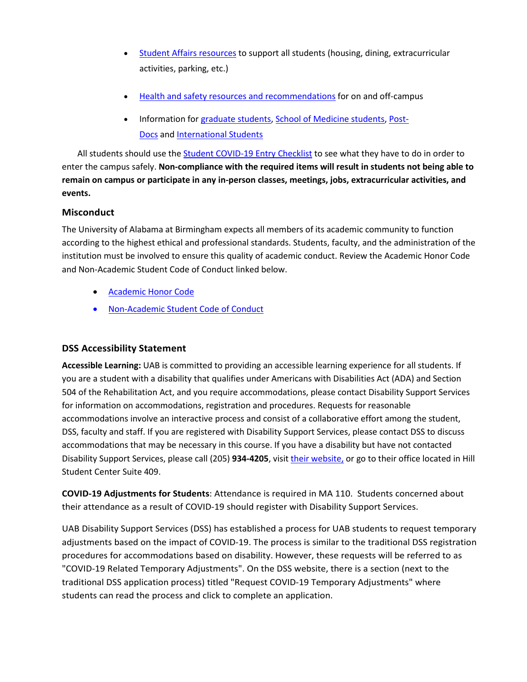- [Student Affairs resources](https://www.uab.edu/uabunited/students/student-affairs) to support all students (housing, dining, extracurricular activities, parking, etc.)
- [Health and safety resources and recommendations](https://www.uab.edu/uabunited/students/health-safety) for on and off-campus
- Information for [graduate students,](https://www.uab.edu/graduate/about/graduate-school-covid-19-updates) [School of Medicine students,](https://www.uab.edu/medicine/home/covid-19-updates) [Post-](https://www.uab.edu/postdocs/covid-19)[Docs](https://www.uab.edu/postdocs/covid-19) and [International Students](https://www.uab.edu/global/about/programs-services/isss/faqs-concerning-recent-sevp-guidance-and-covid-19-planning)

All students should use the [Student COVID-19 Entry Checklist](https://www.uab.edu/uabunited/entry-checklists#student-checklist) to see what they have to do in order to enter the campus safely. **Non-compliance with the required items will result in students not being able to remain on campus or participate in any in-person classes, meetings, jobs, extracurricular activities, and events.**

## **Misconduct**

The University of Alabama at Birmingham expects all members of its academic community to function according to the highest ethical and professional standards. Students, faculty, and the administration of the institution must be involved to ensure this quality of academic conduct. Review the Academic Honor Code and Non-Academic Student Code of Conduct linked below.

- **[Academic Honor Code](http://www.uab.edu/students/one-stop/policies/academic-honor-code)**
- [Non-Academic Student Code of Conduct](http://www.uab.edu/studentconduct)

## **DSS Accessibility Statement**

**Accessible Learning:** UAB is committed to providing an accessible learning experience for all students. If you are a student with a disability that qualifies under Americans with Disabilities Act (ADA) and Section 504 of the Rehabilitation Act, and you require accommodations, please contact Disability Support Services for information on accommodations, registration and procedures. Requests for reasonable accommodations involve an interactive process and consist of a collaborative effort among the student, DSS, faculty and staff. If you are registered with Disability Support Services, please contact DSS to discuss accommodations that may be necessary in this course. If you have a disability but have not contacted Disability Support Services, please call (205) **934-4205**, visit [their website,](http://www.uab.edu/dss) or go to their office located in Hill Student Center Suite 409.

**COVID-19 Adjustments for Students**: Attendance is required in MA 110. Students concerned about their attendance as a result of COVID-19 should register with Disability Support Services.

UAB Disability Support Services (DSS) has established a process for UAB students to request temporary adjustments based on the impact of COVID-19. The process is similar to the traditional DSS registration procedures for accommodations based on disability. However, these requests will be referred to as "COVID-19 Related Temporary Adjustments". On the DSS website, there is a section (next to the traditional DSS application process) titled "Request COVID-19 Temporary Adjustments" where students can read the process and click to complete an application.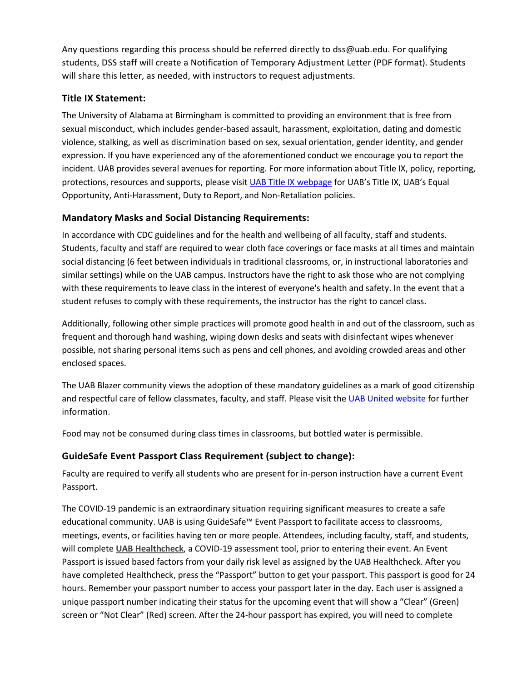Any questions regarding this process should be referred directly to dss@uab.edu. For qualifying students, DSS staff will create a Notification of Temporary Adjustment Letter (PDF format). Students will share this letter, as needed, with instructors to request adjustments.

## **Title IX Statement:**

The University of Alabama at Birmingham is committed to providing an environment that is free from sexual misconduct, which includes gender-based assault, harassment, exploitation, dating and domestic violence, stalking, as well as discrimination based on sex, sexual orientation, gender identity, and gender expression. If you have experienced any of the aforementioned conduct we encourage you to report the incident. UAB provides several avenues for reporting. For more information about Title IX, policy, reporting, protections, resources and supports, please visit [UAB Title IX webpage](http://www.uab.edu/titleix) for UAB's Title IX, UAB's Equal Opportunity, Anti-Harassment, Duty to Report, and Non-Retaliation policies.

## **Mandatory Masks and Social Distancing Requirements:**

In accordance with CDC guidelines and for the health and wellbeing of all faculty, staff and students. Students, faculty and staff are required to wear cloth face coverings or face masks at all times and maintain social distancing (6 feet between individuals in traditional classrooms, or, in instructional laboratories and similar settings) while on the UAB campus. Instructors have the right to ask those who are not complying with these requirements to leave class in the interest of everyone's health and safety. In the event that a student refuses to comply with these requirements, the instructor has the right to cancel class.

Additionally, following other simple practices will promote good health in and out of the classroom, such as frequent and thorough hand washing, wiping down desks and seats with disinfectant wipes whenever possible, not sharing personal items such as pens and cell phones, and avoiding crowded areas and other enclosed spaces.

The UAB Blazer community views the adoption of these mandatory guidelines as a mark of good citizenship and respectful care of fellow classmates, faculty, and staff. Please visit the [UAB United website](https://www.uab.edu/uabunited/students) for further information.

Food may not be consumed during class times in classrooms, but bottled water is permissible.

## **GuideSafe Event Passport Class Requirement (subject to change):**

Faculty are required to verify all students who are present for in-person instruction have a current Event Passport.

The COVID-19 pandemic is an extraordinary situation requiring significant measures to create a safe educational community. UAB is using GuideSafe™ Event Passport to facilitate access to classrooms, meetings, events, or facilities having ten or more people. Attendees, including faculty, staff, and students, will complete **[UAB Healthcheck](https://www.uab.edu/uabunited/uab-healthcheck)**, a COVID-19 assessment tool, prior to entering their event. An Event Passport is issued based factors from your daily risk level as assigned by the UAB Healthcheck. After you have completed Healthcheck, press the "Passport" button to get your passport. This passport is good for 24 hours. Remember your passport number to access your passport later in the day. Each user is assigned a unique passport number indicating their status for the upcoming event that will show a "Clear" (Green) screen or "Not Clear" (Red) screen. After the 24-hour passport has expired, you will need to complete